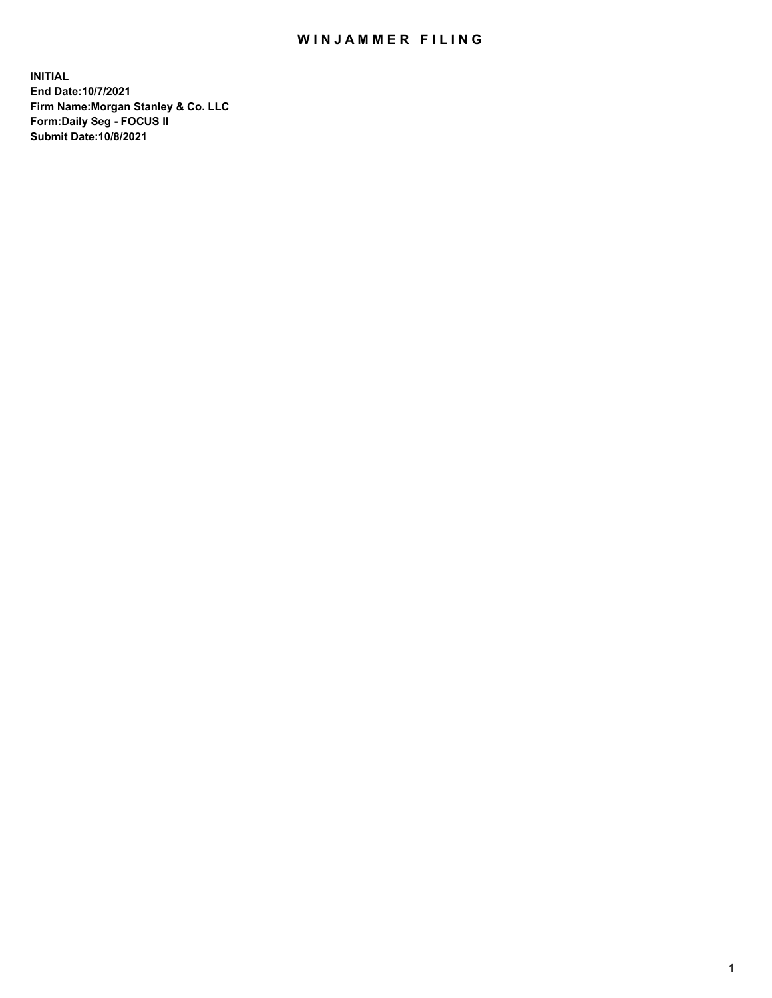## WIN JAMMER FILING

**INITIAL End Date:10/7/2021 Firm Name:Morgan Stanley & Co. LLC Form:Daily Seg - FOCUS II Submit Date:10/8/2021**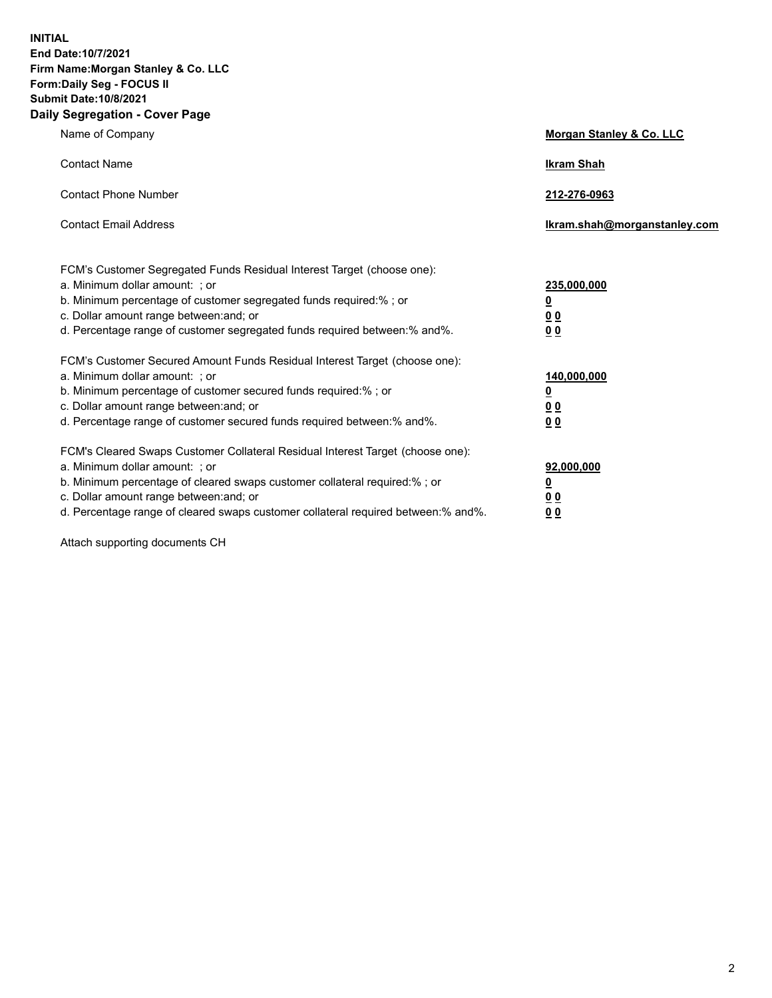**INITIAL End Date:10/7/2021 Firm Name:Morgan Stanley & Co. LLC Form:Daily Seg - FOCUS II Submit Date:10/8/2021 Daily Segregation - Cover Page**

| Name of Company                                                                                                                                                                                                                                                                                                                | <b>Morgan Stanley &amp; Co. LLC</b>                    |
|--------------------------------------------------------------------------------------------------------------------------------------------------------------------------------------------------------------------------------------------------------------------------------------------------------------------------------|--------------------------------------------------------|
| <b>Contact Name</b>                                                                                                                                                                                                                                                                                                            | <b>Ikram Shah</b>                                      |
| <b>Contact Phone Number</b>                                                                                                                                                                                                                                                                                                    | 212-276-0963                                           |
| <b>Contact Email Address</b>                                                                                                                                                                                                                                                                                                   | Ikram.shah@morganstanley.com                           |
| FCM's Customer Segregated Funds Residual Interest Target (choose one):<br>a. Minimum dollar amount: ; or<br>b. Minimum percentage of customer segregated funds required:% ; or<br>c. Dollar amount range between: and; or<br>d. Percentage range of customer segregated funds required between:% and%.                         | 235,000,000<br><u>0</u><br><u>00</u><br>0 Q            |
| FCM's Customer Secured Amount Funds Residual Interest Target (choose one):<br>a. Minimum dollar amount: ; or<br>b. Minimum percentage of customer secured funds required:%; or<br>c. Dollar amount range between: and; or<br>d. Percentage range of customer secured funds required between: % and %.                          | 140,000,000<br><u>0</u><br><u>00</u><br>0 <sub>0</sub> |
| FCM's Cleared Swaps Customer Collateral Residual Interest Target (choose one):<br>a. Minimum dollar amount: ; or<br>b. Minimum percentage of cleared swaps customer collateral required:% ; or<br>c. Dollar amount range between: and; or<br>d. Percentage range of cleared swaps customer collateral required between:% and%. | 92,000,000<br><u>0</u><br><u>00</u><br>0 <sub>0</sub>  |

Attach supporting documents CH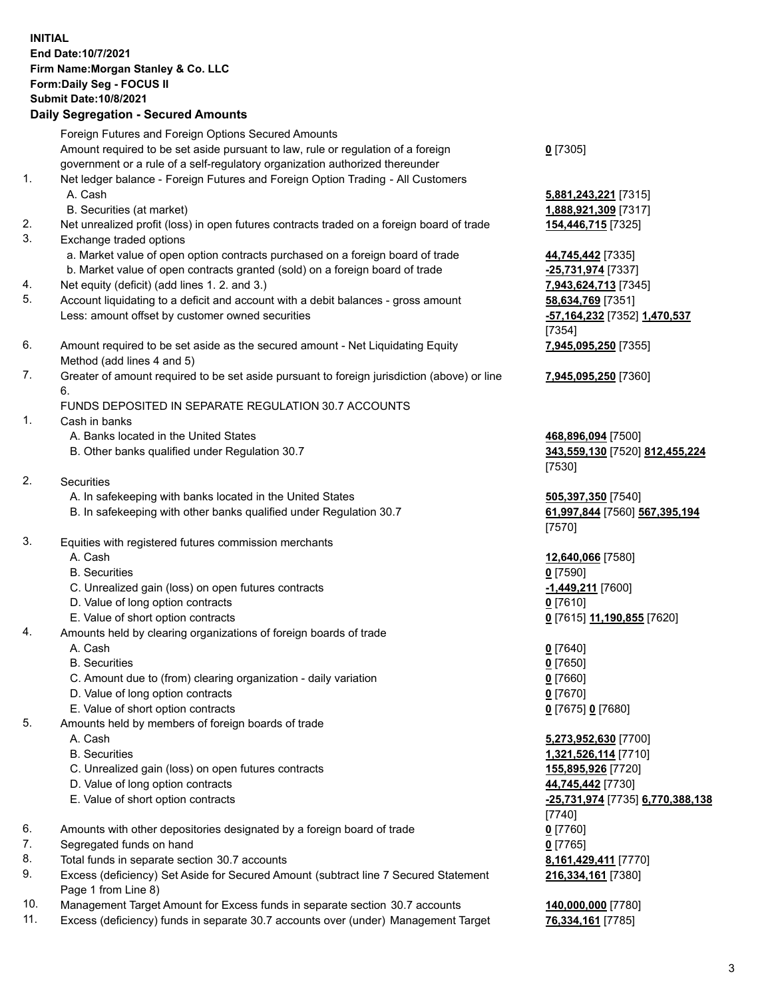## **INITIAL End Date:10/7/2021 Firm Name:Morgan Stanley & Co. LLC Form:Daily Seg - FOCUS II Submit Date:10/8/2021**

## **Daily Segregation - Secured Amounts**

Foreign Futures and Foreign Options Secured Amounts Amount required to be set aside pursuant to law, rule or regulation of a foreign government or a rule of a self-regulatory organization authorized thereunder 1. Net ledger balance - Foreign Futures and Foreign Option Trading - All Customers A. Cash **5,881,243,221** [7315] B. Securities (at market) **1,888,921,309** [7317] 2. Net unrealized profit (loss) in open futures contracts traded on a foreign board of trade **154,446,715** [7325] 3. Exchange traded options a. Market value of open option contracts purchased on a foreign board of trade **44,745,442** [7335] b. Market value of open contracts granted (sold) on a foreign board of trade **-25,731,974** [7337] 4. Net equity (deficit) (add lines 1. 2. and 3.) **7,943,624,713** [7345] 5. Account liquidating to a deficit and account with a debit balances - gross amount **58,634,769** [7351] Less: amount offset by customer owned securities **and the securities of the securities -57,164,232** [7352] **1,470,537** 6. Amount required to be set aside as the secured amount - Net Liquidating Equity Method (add lines 4 and 5) 7. Greater of amount required to be set aside pursuant to foreign jurisdiction (above) or line 6. FUNDS DEPOSITED IN SEPARATE REGULATION 30.7 ACCOUNTS 1. Cash in banks A. Banks located in the United States **468,896,094** [7500] B. Other banks qualified under Regulation 30.7 **343,559,130** [7520] **812,455,224** 2. Securities A. In safekeeping with banks located in the United States **505,397,350** [7540] B. In safekeeping with other banks qualified under Regulation 30.7 **61,997,844** [7560] **567,395,194** 3. Equities with registered futures commission merchants A. Cash **12,640,066** [7580] B. Securities **0** [7590] C. Unrealized gain (loss) on open futures contracts **-1,449,211** [7600] D. Value of long option contracts **0** [7610] E. Value of short option contracts **0** [7615] **11,190,855** [7620] 4. Amounts held by clearing organizations of foreign boards of trade A. Cash **0** [7640] B. Securities **0** [7650] C. Amount due to (from) clearing organization - daily variation **0** [7660] D. Value of long option contracts **0** [7670] E. Value of short option contracts **0** [7675] **0** [7680] 5. Amounts held by members of foreign boards of trade A. Cash **5,273,952,630** [7700] B. Securities **1,321,526,114** [7710] C. Unrealized gain (loss) on open futures contracts **155,895,926** [7720] D. Value of long option contracts **44,745,442** [7730] E. Value of short option contracts **-25,731,974** [7735] **6,770,388,138**

- 6. Amounts with other depositories designated by a foreign board of trade **0** [7760]
- 7. Segregated funds on hand **0** [7765]
- 8. Total funds in separate section 30.7 accounts **8,161,429,411** [7770]
- 9. Excess (deficiency) Set Aside for Secured Amount (subtract line 7 Secured Statement Page 1 from Line 8)
- 10. Management Target Amount for Excess funds in separate section 30.7 accounts **140,000,000** [7780]
- 11. Excess (deficiency) funds in separate 30.7 accounts over (under) Management Target **76,334,161** [7785]

**0** [7305]

[7354] **7,945,095,250** [7355]

**7,945,095,250** [7360]

[7530]

[7570]

[7740] **216,334,161** [7380]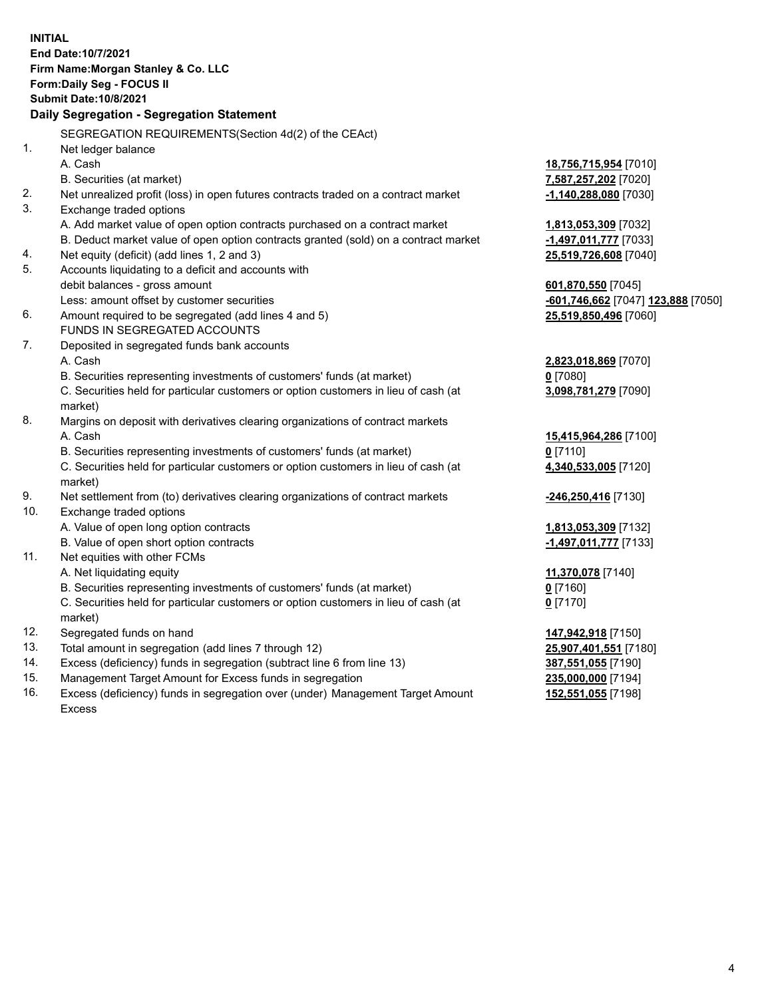**INITIAL End Date:10/7/2021 Firm Name:Morgan Stanley & Co. LLC Form:Daily Seg - FOCUS II Submit Date:10/8/2021 Daily Segregation - Segregation Statement** SEGREGATION REQUIREMENTS(Section 4d(2) of the CEAct) 1. Net ledger balance A. Cash **18,756,715,954** [7010] B. Securities (at market) **7,587,257,202** [7020] 2. Net unrealized profit (loss) in open futures contracts traded on a contract market **-1,140,288,080** [7030] 3. Exchange traded options A. Add market value of open option contracts purchased on a contract market **1,813,053,309** [7032] B. Deduct market value of open option contracts granted (sold) on a contract market **-1,497,011,777** [7033] 4. Net equity (deficit) (add lines 1, 2 and 3) **25,519,726,608** [7040] 5. Accounts liquidating to a deficit and accounts with debit balances - gross amount **601,870,550** [7045] Less: amount offset by customer securities **-601,746,662** [7047] **123,888** [7050] 6. Amount required to be segregated (add lines 4 and 5) **25,519,850,496** [7060] FUNDS IN SEGREGATED ACCOUNTS 7. Deposited in segregated funds bank accounts A. Cash **2,823,018,869** [7070] B. Securities representing investments of customers' funds (at market) **0** [7080] C. Securities held for particular customers or option customers in lieu of cash (at market) **3,098,781,279** [7090] 8. Margins on deposit with derivatives clearing organizations of contract markets A. Cash **15,415,964,286** [7100] B. Securities representing investments of customers' funds (at market) **0** [7110] C. Securities held for particular customers or option customers in lieu of cash (at market) **4,340,533,005** [7120] 9. Net settlement from (to) derivatives clearing organizations of contract markets **-246,250,416** [7130] 10. Exchange traded options A. Value of open long option contracts **1,813,053,309** [7132] B. Value of open short option contracts **-1,497,011,777** [7133] 11. Net equities with other FCMs A. Net liquidating equity **11,370,078** [7140] B. Securities representing investments of customers' funds (at market) **0** [7160] C. Securities held for particular customers or option customers in lieu of cash (at market) **0** [7170] 12. Segregated funds on hand **147,942,918** [7150] 13. Total amount in segregation (add lines 7 through 12) **25,907,401,551** [7180] 14. Excess (deficiency) funds in segregation (subtract line 6 from line 13) **387,551,055** [7190] 15. Management Target Amount for Excess funds in segregation **235,000,000** [7194]

16. Excess (deficiency) funds in segregation over (under) Management Target Amount Excess

**152,551,055** [7198]